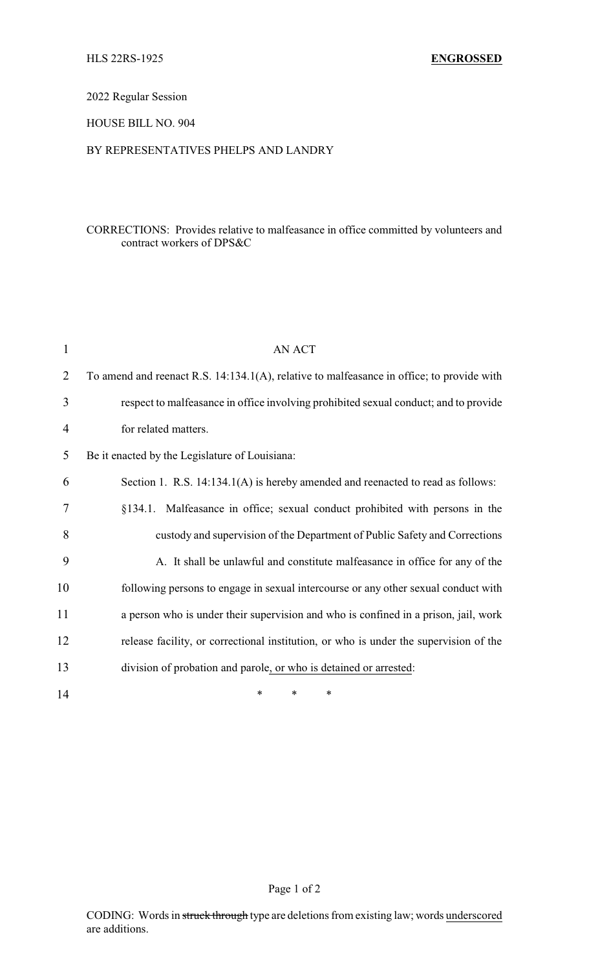# 2022 Regular Session

## HOUSE BILL NO. 904

## BY REPRESENTATIVES PHELPS AND LANDRY

# CORRECTIONS: Provides relative to malfeasance in office committed by volunteers and contract workers of DPS&C

| $\mathbf{1}$   | <b>AN ACT</b>                                                                             |
|----------------|-------------------------------------------------------------------------------------------|
| $\overline{2}$ | To amend and reenact R.S. 14:134.1(A), relative to malfeasance in office; to provide with |
| 3              | respect to malfeasance in office involving prohibited sexual conduct; and to provide      |
| 4              | for related matters.                                                                      |
| 5              | Be it enacted by the Legislature of Louisiana:                                            |
| 6              | Section 1. R.S. 14:134.1(A) is hereby amended and reenacted to read as follows:           |
| 7              | §134.1. Malfeasance in office; sexual conduct prohibited with persons in the              |
| 8              | custody and supervision of the Department of Public Safety and Corrections                |
| 9              | A. It shall be unlawful and constitute malfeasance in office for any of the               |
| 10             | following persons to engage in sexual intercourse or any other sexual conduct with        |
| 11             | a person who is under their supervision and who is confined in a prison, jail, work       |
| 12             | release facility, or correctional institution, or who is under the supervision of the     |
| 13             | division of probation and parole, or who is detained or arrested:                         |
| 14             | $\ast$<br>∗<br>∗                                                                          |

## Page 1 of 2